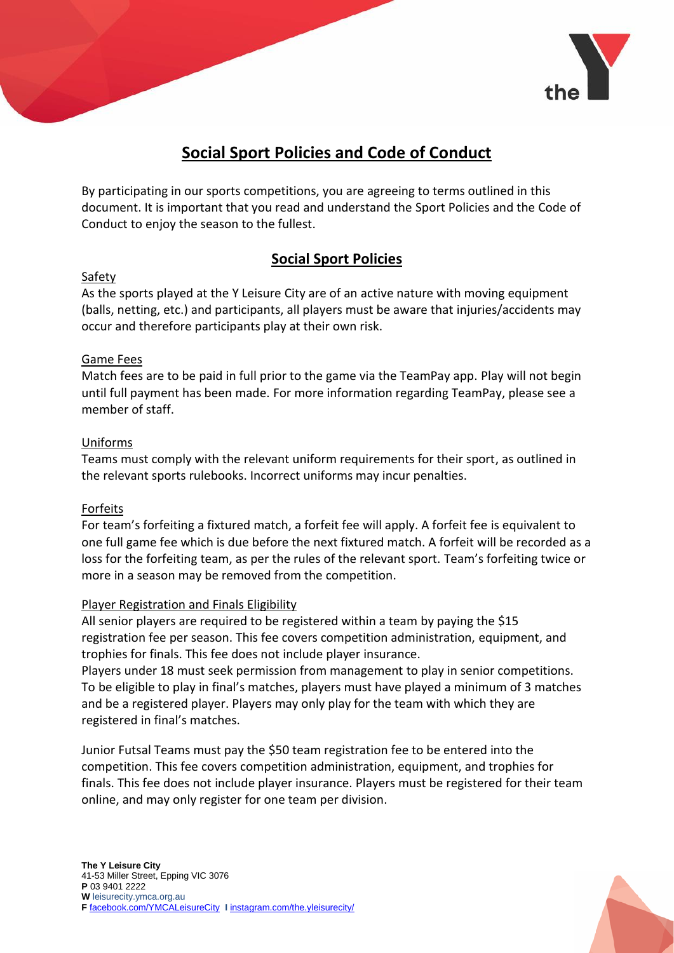

# **Social Sport Policies and Code of Conduct**

By participating in our sports competitions, you are agreeing to terms outlined in this document. It is important that you read and understand the Sport Policies and the Code of Conduct to enjoy the season to the fullest.

### **Social Sport Policies**

#### Safety

As the sports played at the Y Leisure City are of an active nature with moving equipment (balls, netting, etc.) and participants, all players must be aware that injuries/accidents may occur and therefore participants play at their own risk.

#### Game Fees

Match fees are to be paid in full prior to the game via the TeamPay app. Play will not begin until full payment has been made. For more information regarding TeamPay, please see a member of staff.

#### Uniforms

Teams must comply with the relevant uniform requirements for their sport, as outlined in the relevant sports rulebooks. Incorrect uniforms may incur penalties.

#### Forfeits

For team's forfeiting a fixtured match, a forfeit fee will apply. A forfeit fee is equivalent to one full game fee which is due before the next fixtured match. A forfeit will be recorded as a loss for the forfeiting team, as per the rules of the relevant sport. Team's forfeiting twice or more in a season may be removed from the competition.

#### Player Registration and Finals Eligibility

All senior players are required to be registered within a team by paying the \$15 registration fee per season. This fee covers competition administration, equipment, and trophies for finals. This fee does not include player insurance.

Players under 18 must seek permission from management to play in senior competitions. To be eligible to play in final's matches, players must have played a minimum of 3 matches and be a registered player. Players may only play for the team with which they are registered in final's matches.

Junior Futsal Teams must pay the \$50 team registration fee to be entered into the competition. This fee covers competition administration, equipment, and trophies for finals. This fee does not include player insurance. Players must be registered for their team online, and may only register for one team per division.